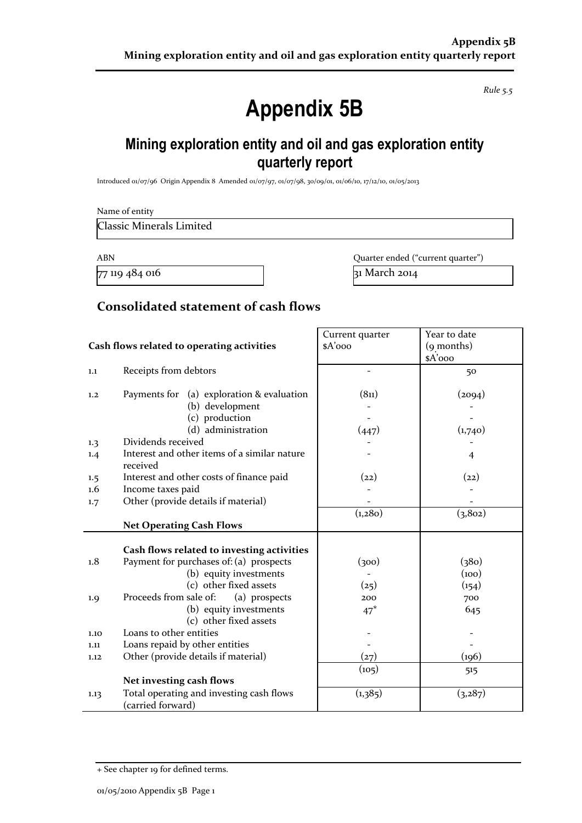*Rule 5.5*

# **Appendix 5B**

# **Mining exploration entity and oil and gas exploration entity quarterly report**

Introduced 01/07/96 Origin Appendix 8 Amended 01/07/97, 01/07/98, 30/09/01, 01/06/10, 17/12/10, 01/05/2013

Name of entity

Classic Minerals Limited

 $77$  119 484 016 31 March 2014

ABN Quarter ended ("current quarter")

#### **Consolidated statement of cash flows**

|                                            |                                                          | Current quarter          | Year to date   |
|--------------------------------------------|----------------------------------------------------------|--------------------------|----------------|
| Cash flows related to operating activities |                                                          | \$A'ooo                  | (9 months)     |
|                                            |                                                          |                          | \$A'ooo        |
| $1.1\,$                                    | Receipts from debtors                                    | $\overline{\phantom{0}}$ | 50             |
|                                            |                                                          |                          |                |
| 1,2                                        | Payments for (a) exploration & evaluation                | (8 <sub>11</sub> )       | (2094)         |
|                                            | (b) development                                          |                          |                |
|                                            | (c) production                                           |                          |                |
|                                            | (d) administration                                       | (447)                    | (1,740)        |
| 1.3                                        | Dividends received                                       |                          |                |
| 1.4                                        | Interest and other items of a similar nature<br>received |                          | $\overline{4}$ |
| 1.5                                        | Interest and other costs of finance paid                 | (22)                     | (22)           |
| $1.6\phantom{0}$                           | Income taxes paid                                        |                          |                |
| 1.7                                        | Other (provide details if material)                      |                          |                |
|                                            |                                                          | (1,280)                  | (3, 802)       |
|                                            | <b>Net Operating Cash Flows</b>                          |                          |                |
|                                            |                                                          |                          |                |
|                                            | Cash flows related to investing activities               |                          |                |
| 1.8                                        | Payment for purchases of: (a) prospects                  | (300)                    | (380)          |
|                                            | (b) equity investments                                   |                          | (100)          |
|                                            | (c) other fixed assets                                   | (25)                     | (154)          |
| 1.9                                        | Proceeds from sale of:<br>(a) prospects                  | 200                      | 700            |
|                                            | (b) equity investments                                   | $47*$                    | 645            |
|                                            | (c) other fixed assets                                   |                          |                |
| 1.10                                       | Loans to other entities                                  |                          |                |
| 1.11                                       | Loans repaid by other entities                           |                          |                |
| 1.12                                       | Other (provide details if material)                      | (27)                     | (196)          |
|                                            |                                                          | (105)                    | 515            |
|                                            | Net investing cash flows                                 |                          |                |
| 1.13                                       | Total operating and investing cash flows                 | (1,385)                  | (3,287)        |
|                                            | (carried forward)                                        |                          |                |

<sup>+</sup> See chapter 19 for defined terms.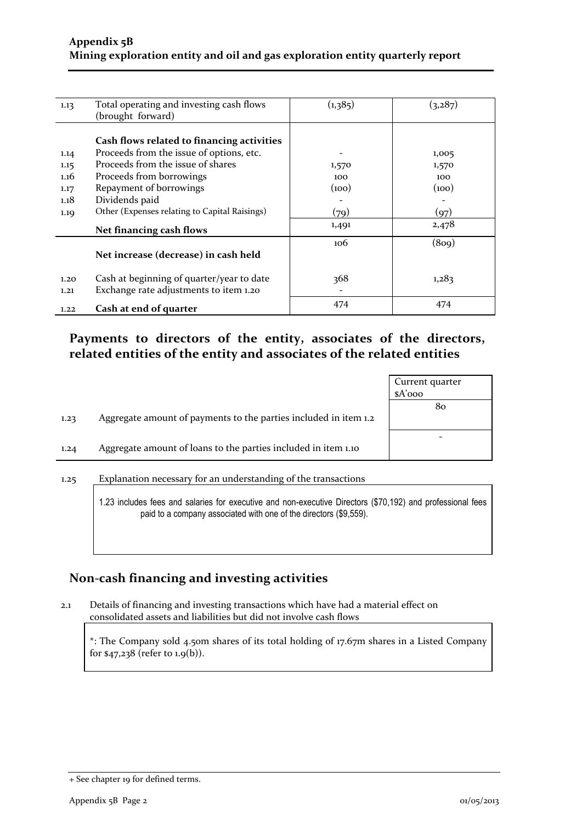| 1.13 | Total operating and investing cash flows      | (1,385) | (3,287) |
|------|-----------------------------------------------|---------|---------|
|      | (brought forward)                             |         |         |
|      |                                               |         |         |
|      | Cash flows related to financing activities    |         |         |
|      |                                               |         |         |
| 1.14 | Proceeds from the issue of options, etc.      |         | 1,005   |
| 1.15 | Proceeds from the issue of shares             | 1,570   | 1,570   |
| 1.16 | Proceeds from borrowings                      | 100     | 100     |
| 1.17 | Repayment of borrowings                       | (100)   | (100)   |
| 1.18 | Dividends paid                                |         |         |
| 1.19 | Other (Expenses relating to Capital Raisings) | (79)    | (97)    |
|      | Net financing cash flows                      | 1,491   | 2,478   |
|      |                                               | 106     | (809)   |
|      | Net increase (decrease) in cash held          |         |         |
|      |                                               |         |         |
| 1.20 | Cash at beginning of quarter/year to date     | 368     | 1,283   |
| 1.21 | Exchange rate adjustments to item 1.20        |         |         |
| 1.22 | Cash at end of quarter                        | 474     | 474     |

#### **Payments to directors of the entity, associates of the directors, related entities of the entity and associates of the related entities**

|      |                                                                  | Current quarter |
|------|------------------------------------------------------------------|-----------------|
|      |                                                                  | $A'$ ooo        |
|      |                                                                  | 80              |
| 1.23 | Aggregate amount of payments to the parties included in item 1.2 |                 |
|      |                                                                  |                 |
| 1.24 | Aggregate amount of loans to the parties included in item 1.10   |                 |
|      |                                                                  |                 |

1.25 Explanation necessary for an understanding of the transactions

1.23 includes fees and salaries for executive and non-executive Directors (\$70,192) and professional fees paid to a company associated with one of the directors (\$9,559).

## **Non-cash financing and investing activities**

2.1 Details of financing and investing transactions which have had a material effect on consolidated assets and liabilities but did not involve cash flows

\*: The Company sold 4.50m shares of its total holding of 17.67m shares in a Listed Company for \$47,238 (refer to 1.9(b)).

<sup>+</sup> See chapter 19 for defined terms.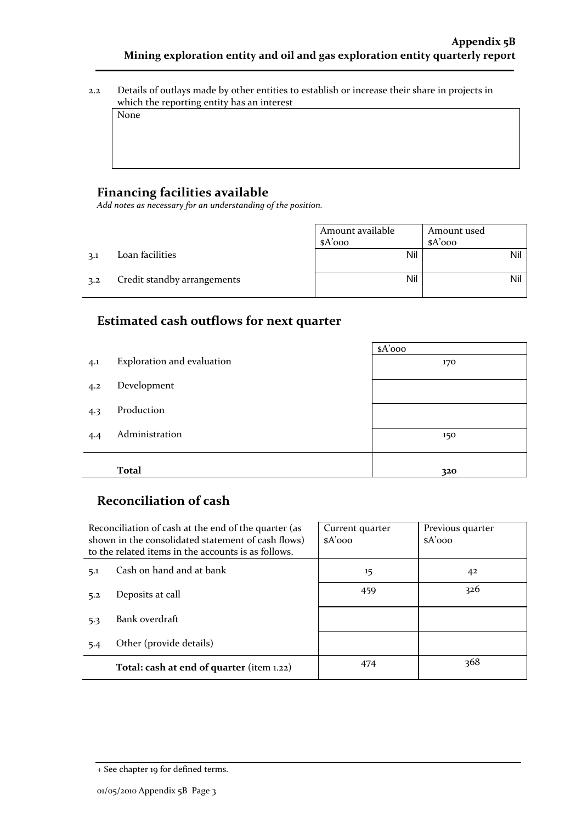2.2 Details of outlays made by other entities to establish or increase their share in projects in which the reporting entity has an interest

None

#### **Financing facilities available**

*Add notes as necessary for an understanding of the position.*

|     |                             | Amount available<br>$A'$ 000 | Amount used<br>$A'$ 000 |
|-----|-----------------------------|------------------------------|-------------------------|
| 3.1 | Loan facilities             | Nil                          | Nil                     |
| 3.2 | Credit standby arrangements | Nil                          | Nil                     |

#### **Estimated cash outflows for next quarter**

|     |                            | $A'$ 000 |
|-----|----------------------------|----------|
| 4.1 | Exploration and evaluation | 170      |
| 4.2 | Development                |          |
| 4.3 | Production                 |          |
| 4.4 | Administration             | 150      |
|     | <b>Total</b>               | 320      |

## **Reconciliation of cash**

|                                 | Reconciliation of cash at the end of the quarter (as<br>shown in the consolidated statement of cash flows)<br>to the related items in the accounts is as follows. | Current quarter<br>$A'$ 000 | Previous quarter<br>$A'$ ooo |
|---------------------------------|-------------------------------------------------------------------------------------------------------------------------------------------------------------------|-----------------------------|------------------------------|
| Cash on hand and at bank<br>5.1 |                                                                                                                                                                   | 15                          | 42                           |
| 5.2                             | Deposits at call                                                                                                                                                  | 459                         | 326                          |
| 5.3                             | Bank overdraft                                                                                                                                                    |                             |                              |
| 5.4                             | Other (provide details)                                                                                                                                           |                             |                              |
|                                 | Total: cash at end of quarter (item 1.22)                                                                                                                         | 474                         | 368                          |

<sup>+</sup> See chapter 19 for defined terms.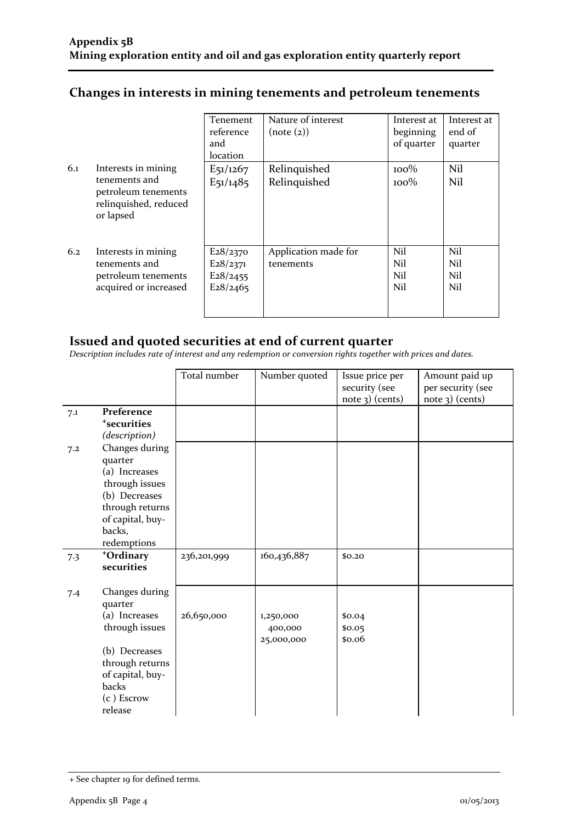|     |                                                                            | Tenement<br>reference<br>and<br>location | Nature of interest<br>(note (2)) | Interest at<br>beginning<br>of quarter | Interest at<br>end of<br>quarter |
|-----|----------------------------------------------------------------------------|------------------------------------------|----------------------------------|----------------------------------------|----------------------------------|
| 6.1 | Interests in mining                                                        | $E_{51/1267}$                            | Relinquished                     | $100\%$                                | Nil                              |
|     | tenements and<br>petroleum tenements<br>relinquished, reduced<br>or lapsed | $E_{51/1485}$                            | Relinquished                     | $100\%$                                | Nil                              |
| 6.2 | Interests in mining                                                        | E28/2370                                 | Application made for             | Nil                                    | Nil                              |
|     | tenements and                                                              | E28/2371                                 | tenements                        | Nil                                    | Nil                              |
|     | petroleum tenements                                                        | E28/2455                                 |                                  | Nil                                    | Nil                              |
|     | acquired or increased                                                      | E28/2465                                 |                                  | Nil                                    | Nil                              |

## **Changes in interests in mining tenements and petroleum tenements**

#### **Issued and quoted securities at end of current quarter**

*Description includes rate of interest and any redemption or conversion rights together with prices and dates.*

|     |                                                                                                                                                        | Total number | Number quoted                      | Issue price per<br>security (see<br>$note$ 3) (cents) | Amount paid up<br>per security (see<br>$note$ 3) (cents) |
|-----|--------------------------------------------------------------------------------------------------------------------------------------------------------|--------------|------------------------------------|-------------------------------------------------------|----------------------------------------------------------|
| 7.1 | Preference<br><sup>+</sup> securities<br>(description)                                                                                                 |              |                                    |                                                       |                                                          |
| 7.2 | Changes during<br>quarter<br>(a) Increases<br>through issues<br>(b) Decreases<br>through returns<br>of capital, buy-<br>backs,<br>redemptions          |              |                                    |                                                       |                                                          |
| 7.3 | +Ordinary<br>securities                                                                                                                                | 236,201,999  | 160,436,887                        | \$0.20                                                |                                                          |
| 7.4 | Changes during<br>quarter<br>(a) Increases<br>through issues<br>(b) Decreases<br>through returns<br>of capital, buy-<br>backs<br>(c) Escrow<br>release | 26,650,000   | 1,250,000<br>400,000<br>25,000,000 | \$0.04<br>\$0.05<br>\$0.06                            |                                                          |

<sup>+</sup> See chapter 19 for defined terms.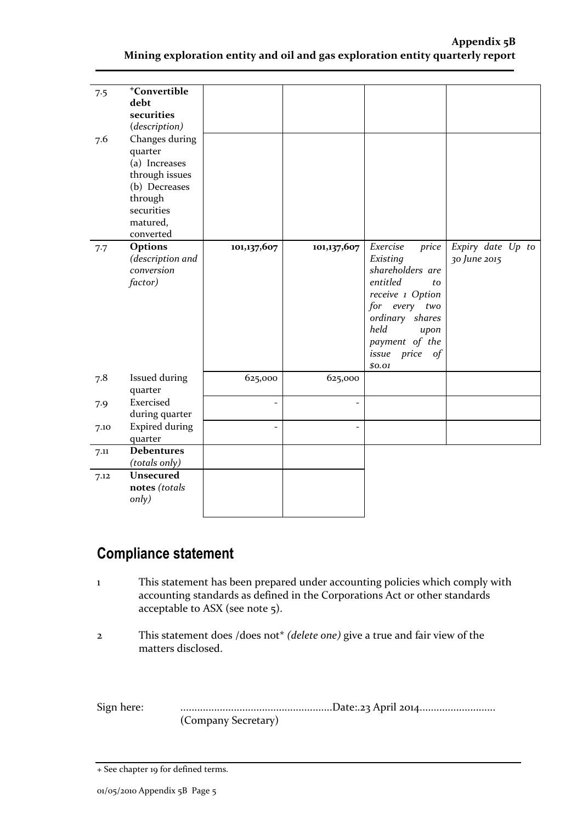| 7.5<br>7.6 | <sup>+</sup> Convertible<br>debt<br>securities<br>(description)<br>Changes during<br>quarter<br>(a) Increases<br>through issues<br>(b) Decreases<br>through |                |                |                                                                                                                                                                                                            |                                   |
|------------|-------------------------------------------------------------------------------------------------------------------------------------------------------------|----------------|----------------|------------------------------------------------------------------------------------------------------------------------------------------------------------------------------------------------------------|-----------------------------------|
|            | securities<br>matured,                                                                                                                                      |                |                |                                                                                                                                                                                                            |                                   |
|            | converted                                                                                                                                                   |                |                |                                                                                                                                                                                                            |                                   |
| 7.7        | Options<br>(description and<br>conversion<br>factor)                                                                                                        | 101,137,607    | 101,137,607    | Exercise<br>price<br>Existing<br>shareholders are<br>entitled<br>to<br>receive 1 Option<br>for every<br>two<br>ordinary shares<br>held<br>upon<br>payment of the<br>price<br>$\sigma f$<br>issue<br>\$0.01 | Expiry date Up to<br>30 June 2015 |
| 7.8        | Issued during<br>quarter                                                                                                                                    | 625,000        | 625,000        |                                                                                                                                                                                                            |                                   |
| 7.9        | Exercised<br>during quarter                                                                                                                                 | $\overline{a}$ | $\overline{a}$ |                                                                                                                                                                                                            |                                   |
| 7.10       | <b>Expired during</b><br>quarter                                                                                                                            |                | $\overline{a}$ |                                                                                                                                                                                                            |                                   |
| 7.11       | <b>Debentures</b><br>(totals only)                                                                                                                          |                |                |                                                                                                                                                                                                            |                                   |
| 7.12       | <b>Unsecured</b><br>notes (totals<br>only)                                                                                                                  |                |                |                                                                                                                                                                                                            |                                   |

# **Compliance statement**

- 1 This statement has been prepared under accounting policies which comply with accounting standards as defined in the Corporations Act or other standards acceptable to ASX (see note 5).
- 2 This statement does /does not\* *(delete one)* give a true and fair view of the matters disclosed.

Sign here: ......................................................Date:.23 April 2014........................... (Company Secretary)

<sup>+</sup> See chapter 19 for defined terms.